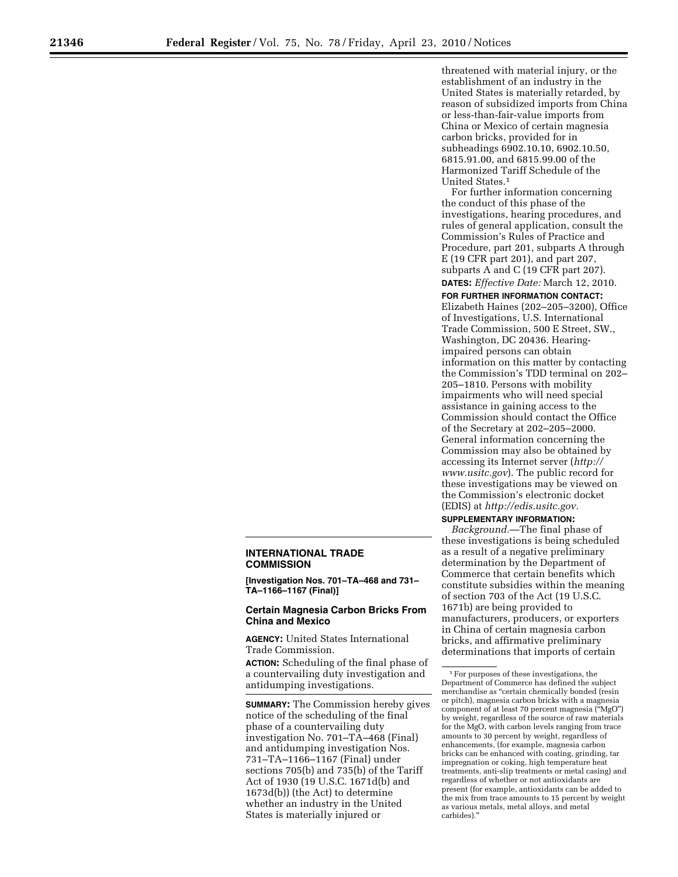threatened with material injury, or the establishment of an industry in the United States is materially retarded, by reason of subsidized imports from China or less-than-fair-value imports from China or Mexico of certain magnesia carbon bricks, provided for in subheadings 6902.10.10, 6902.10.50, 6815.91.00, and 6815.99.00 of the Harmonized Tariff Schedule of the United States.1

For further information concerning the conduct of this phase of the investigations, hearing procedures, and rules of general application, consult the Commission's Rules of Practice and Procedure, part 201, subparts A through E (19 CFR part 201), and part 207, subparts A and C (19 CFR part 207).

**DATES:** *Effective Date:* March 12, 2010.

**FOR FURTHER INFORMATION CONTACT:**  Elizabeth Haines (202–205–3200), Office of Investigations, U.S. International Trade Commission, 500 E Street, SW., Washington, DC 20436. Hearingimpaired persons can obtain information on this matter by contacting the Commission's TDD terminal on 202– 205–1810. Persons with mobility impairments who will need special assistance in gaining access to the Commission should contact the Office of the Secretary at 202–205–2000. General information concerning the Commission may also be obtained by accessing its Internet server (*http:// www.usitc.gov*). The public record for these investigations may be viewed on the Commission's electronic docket (EDIS) at *http://edis.usitc.gov.* 

## **SUPPLEMENTARY INFORMATION:**

*Background.*—The final phase of these investigations is being scheduled as a result of a negative preliminary determination by the Department of Commerce that certain benefits which constitute subsidies within the meaning of section 703 of the Act (19 U.S.C. 1671b) are being provided to manufacturers, producers, or exporters in China of certain magnesia carbon bricks, and affirmative preliminary determinations that imports of certain

## **INTERNATIONAL TRADE COMMISSION**

**[Investigation Nos. 701–TA–468 and 731– TA–1166–1167 (Final)]** 

## **Certain Magnesia Carbon Bricks From China and Mexico**

**AGENCY:** United States International Trade Commission.

**ACTION:** Scheduling of the final phase of a countervailing duty investigation and antidumping investigations.

**SUMMARY:** The Commission hereby gives notice of the scheduling of the final phase of a countervailing duty investigation No. 701–TA–468 (Final) and antidumping investigation Nos. 731–TA–1166–1167 (Final) under sections 705(b) and 735(b) of the Tariff Act of 1930 (19 U.S.C. 1671d(b) and 1673d(b)) (the Act) to determine whether an industry in the United States is materially injured or

<sup>1</sup>For purposes of these investigations, the Department of Commerce has defined the subject merchandise as "certain chemically bonded (resin or pitch), magnesia carbon bricks with a magnesia component of at least 70 percent magnesia (''MgO'') by weight, regardless of the source of raw materials for the MgO, with carbon levels ranging from trace amounts to 30 percent by weight, regardless of enhancements, (for example, magnesia carbon bricks can be enhanced with coating, grinding, tar impregnation or coking, high temperature heat treatments, anti-slip treatments or metal casing) and regardless of whether or not antioxidants are present (for example, antioxidants can be added to the mix from trace amounts to 15 percent by weight as various metals, metal alloys, and metal carbides).''